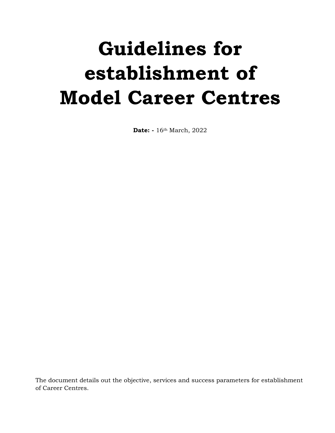# **Guidelines for establishment of Model Career Centres**

**Date: -** 16th March, 2022

The document details out the objective, services and success parameters for establishment of Career Centres.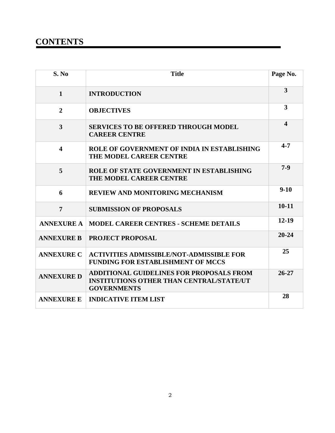# **CONTENTS**

| S. No                   | <b>Title</b>                                                                                                             | Page No.                |
|-------------------------|--------------------------------------------------------------------------------------------------------------------------|-------------------------|
| $\mathbf{1}$            | <b>INTRODUCTION</b>                                                                                                      | $\overline{\mathbf{3}}$ |
| $\overline{2}$          | <b>OBJECTIVES</b>                                                                                                        | 3                       |
| $\overline{3}$          | <b>SERVICES TO BE OFFERED THROUGH MODEL</b><br><b>CAREER CENTRE</b>                                                      | 4                       |
| $\overline{\mathbf{4}}$ | ROLE OF GOVERNMENT OF INDIA IN ESTABLISHING<br>THE MODEL CAREER CENTRE                                                   | $4 - 7$                 |
| 5                       | ROLE OF STATE GOVERNMENT IN ESTABLISHING<br>THE MODEL CAREER CENTRE                                                      | $7-9$                   |
| 6                       | REVIEW AND MONITORING MECHANISM                                                                                          | $9-10$                  |
| $\overline{7}$          | <b>SUBMISSION OF PROPOSALS</b>                                                                                           | $10 - 11$               |
| <b>ANNEXURE A</b>       | <b>MODEL CAREER CENTRES - SCHEME DETAILS</b>                                                                             | $12 - 19$               |
| <b>ANNEXURE B</b>       | <b>PROJECT PROPOSAL</b>                                                                                                  | $20 - 24$               |
| <b>ANNEXURE C</b>       | <b>ACTIVITIES ADMISSIBLE/NOT-ADMISSIBLE FOR</b><br><b>FUNDING FOR ESTABLISHMENT OF MCCS</b>                              | 25                      |
| <b>ANNEXURE D</b>       | <b>ADDITIONAL GUIDELINES FOR PROPOSALS FROM</b><br><b>INSTITUTIONS OTHER THAN CENTRAL/STATE/UT</b><br><b>GOVERNMENTS</b> | $26 - 27$               |
| <b>ANNEXURE E</b>       | <b>INDICATIVE ITEM LIST</b>                                                                                              | 28                      |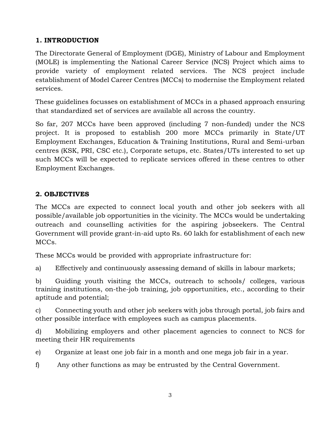# **1. INTRODUCTION**

The Directorate General of Employment (DGE), Ministry of Labour and Employment (MOLE) is implementing the National Career Service (NCS) Project which aims to provide variety of employment related services. The NCS project include establishment of Model Career Centres (MCCs) to modernise the Employment related services.

These guidelines focusses on establishment of MCCs in a phased approach ensuring that standardized set of services are available all across the country.

So far, 207 MCCs have been approved (including 7 non-funded) under the NCS project. It is proposed to establish 200 more MCCs primarily in State/UT Employment Exchanges, Education & Training Institutions, Rural and Semi-urban centres (KSK, PRI, CSC etc.), Corporate setups, etc. States/UTs interested to set up such MCCs will be expected to replicate services offered in these centres to other Employment Exchanges.

# **2. OBJECTIVES**

The MCCs are expected to connect local youth and other job seekers with all possible/available job opportunities in the vicinity. The MCCs would be undertaking outreach and counselling activities for the aspiring jobseekers. The Central Government will provide grant-in-aid upto Rs. 60 lakh for establishment of each new MCCs.

These MCCs would be provided with appropriate infrastructure for:

a) Effectively and continuously assessing demand of skills in labour markets;

b) Guiding youth visiting the MCCs, outreach to schools/ colleges, various training institutions, on-the-job training, job opportunities, etc., according to their aptitude and potential;

c) Connecting youth and other job seekers with jobs through portal, job fairs and other possible interface with employees such as campus placements.

d) Mobilizing employers and other placement agencies to connect to NCS for meeting their HR requirements

e) Organize at least one job fair in a month and one mega job fair in a year.

f) Any other functions as may be entrusted by the Central Government.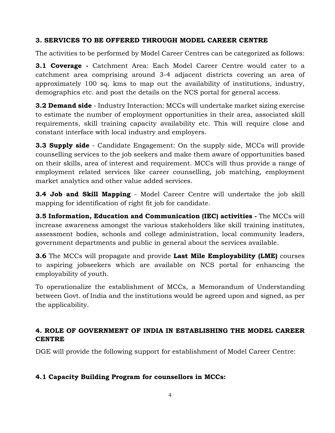### **3. SERVICES TO BE OFFERED THROUGH MODEL CAREER CENTRE**

The activities to be performed by Model Career Centres can be categorized as follows:

**3.1 Coverage -** Catchment Area: Each Model Career Centre would cater to a catchment area comprising around 3-4 adjacent districts covering an area of approximately 100 sq. kms to map out the availability of institutions, industry, demographics etc. and post the details on the NCS portal for general access.

**3.2 Demand side** - Industry Interaction: MCCs will undertake market sizing exercise to estimate the number of employment opportunities in their area, associated skill requirements, skill training capacity availability etc. This will require close and constant interface with local industry and employers.

**3.3 Supply side** - Candidate Engagement: On the supply side, MCCs will provide counselling services to the job seekers and make them aware of opportunities based on their skills, area of interest and requirement. MCCs will thus provide a range of employment related services like career counselling, job matching, employment market analytics and other value added services.

**3.4 Job and Skill Mapping** - Model Career Centre will undertake the job skill mapping for identification of right fit job for candidate.

**3.5 Information, Education and Communication (IEC) activities -** The MCCs will increase awareness amongst the various stakeholders like skill training institutes, assessment bodies, schools and college administration, local community leaders, government departments and public in general about the services available.

**3.6** The MCCs will propagate and provide **Last Mile Employability (LME)** courses to aspiring jobseekers which are available on NCS portal for enhancing the employability of youth.

To operationalize the establishment of MCCs, a Memorandum of Understanding between Govt. of India and the institutions would be agreed upon and signed, as per the applicability.

# **4. ROLE OF GOVERNMENT OF INDIA IN ESTABLISHING THE MODEL CAREER CENTRE**

DGE will provide the following support for establishment of Model Career Centre:

### **4.1 Capacity Building Program for counsellors in MCCs:**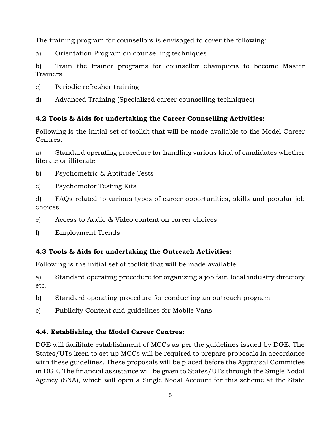The training program for counsellors is envisaged to cover the following:

a) Orientation Program on counselling techniques

b) Train the trainer programs for counsellor champions to become Master Trainers

- c) Periodic refresher training
- d) Advanced Training (Specialized career counselling techniques)

# **4.2 Tools & Aids for undertaking the Career Counselling Activities:**

Following is the initial set of toolkit that will be made available to the Model Career Centres:

a) Standard operating procedure for handling various kind of candidates whether literate or illiterate

- b) Psychometric & Aptitude Tests
- c) Psychomotor Testing Kits

d) FAQs related to various types of career opportunities, skills and popular job choices

e) Access to Audio & Video content on career choices

f) Employment Trends

# **4.3 Tools & Aids for undertaking the Outreach Activities:**

Following is the initial set of toolkit that will be made available:

a) Standard operating procedure for organizing a job fair, local industry directory etc.

- b) Standard operating procedure for conducting an outreach program
- c) Publicity Content and guidelines for Mobile Vans

### **4.4. Establishing the Model Career Centres:**

DGE will facilitate establishment of MCCs as per the guidelines issued by DGE. The States/UTs keen to set up MCCs will be required to prepare proposals in accordance with these guidelines. These proposals will be placed before the Appraisal Committee in DGE. The financial assistance will be given to States/UTs through the Single Nodal Agency (SNA), which will open a Single Nodal Account for this scheme at the State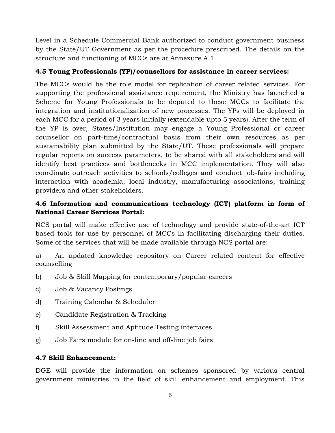Level in a Schedule Commercial Bank authorized to conduct government business by the State/UT Government as per the procedure prescribed. The details on the structure and functioning of MCCs are at Annexure A.1

### **4.5 Young Professionals (YP)/counsellors for assistance in career services:**

The MCCs would be the role model for replication of career related services. For supporting the professional assistance requirement, the Ministry has launched a Scheme for Young Professionals to be deputed to these MCCs to facilitate the integration and institutionalization of new processes. The YPs will be deployed in each MCC for a period of 3 years initially (extendable upto 5 years). After the term of the YP is over, States/Institution may engage a Young Professional or career counsellor on part-time/contractual basis from their own resources as per sustainability plan submitted by the State/UT. These professionals will prepare regular reports on success parameters, to be shared with all stakeholders and will identify best practices and bottlenecks in MCC implementation. They will also coordinate outreach activities to schools/colleges and conduct job-fairs including interaction with academia, local industry, manufacturing associations, training providers and other stakeholders.

# **4.6 Information and communications technology (ICT) platform in form of National Career Services Portal:**

NCS portal will make effective use of technology and provide state-of-the-art ICT based tools for use by personnel of MCCs in facilitating discharging their duties. Some of the services that will be made available through NCS portal are:

a) An updated knowledge repository on Career related content for effective counselling

- b) Job & Skill Mapping for contemporary/popular careers
- c) Job & Vacancy Postings
- d) Training Calendar & Scheduler
- e) Candidate Registration & Tracking
- f) Skill Assessment and Aptitude Testing interfaces
- g) Job Fairs module for on-line and off-line job fairs

### **4.7 Skill Enhancement:**

DGE will provide the information on schemes sponsored by various central government ministries in the field of skill enhancement and employment. This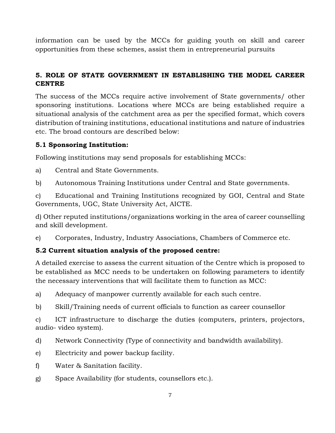information can be used by the MCCs for guiding youth on skill and career opportunities from these schemes, assist them in entrepreneurial pursuits

# **5. ROLE OF STATE GOVERNMENT IN ESTABLISHING THE MODEL CAREER CENTRE**

The success of the MCCs require active involvement of State governments/ other sponsoring institutions. Locations where MCCs are being established require a situational analysis of the catchment area as per the specified format, which covers distribution of training institutions, educational institutions and nature of industries etc. The broad contours are described below:

### **5.1 Sponsoring Institution:**

Following institutions may send proposals for establishing MCCs:

a) Central and State Governments.

b) Autonomous Training Institutions under Central and State governments.

c) Educational and Training Institutions recognized by GOI, Central and State Governments, UGC, State University Act, AICTE.

d) Other reputed institutions/organizations working in the area of career counselling and skill development.

e) Corporates, Industry, Industry Associations, Chambers of Commerce etc.

### **5.2 Current situation analysis of the proposed centre:**

A detailed exercise to assess the current situation of the Centre which is proposed to be established as MCC needs to be undertaken on following parameters to identify the necessary interventions that will facilitate them to function as MCC:

a) Adequacy of manpower currently available for each such centre.

b) Skill/Training needs of current officials to function as career counsellor

c) ICT infrastructure to discharge the duties (computers, printers, projectors, audio- video system).

- d) Network Connectivity (Type of connectivity and bandwidth availability).
- e) Electricity and power backup facility.
- f) Water & Sanitation facility.
- g) Space Availability (for students, counsellors etc.).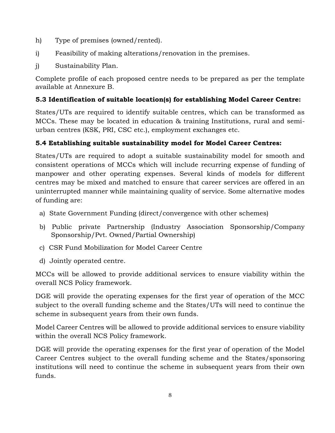- h) Type of premises (owned/rented).
- i) Feasibility of making alterations/renovation in the premises.
- j) Sustainability Plan.

Complete profile of each proposed centre needs to be prepared as per the template available at Annexure B.

# **5.3 Identification of suitable location(s) for establishing Model Career Centre:**

States/UTs are required to identify suitable centres, which can be transformed as MCCs. These may be located in education & training Institutions, rural and semiurban centres (KSK, PRI, CSC etc.), employment exchanges etc.

# **5.4 Establishing suitable sustainability model for Model Career Centres:**

States/UTs are required to adopt a suitable sustainability model for smooth and consistent operations of MCCs which will include recurring expense of funding of manpower and other operating expenses. Several kinds of models for different centres may be mixed and matched to ensure that career services are offered in an uninterrupted manner while maintaining quality of service. Some alternative modes of funding are:

- a) State Government Funding (direct/convergence with other schemes)
- b) Public private Partnership (Industry Association Sponsorship/Company Sponsorship/Pvt. Owned/Partial Ownership)
- c) CSR Fund Mobilization for Model Career Centre
- d) Jointly operated centre.

MCCs will be allowed to provide additional services to ensure viability within the overall NCS Policy framework.

DGE will provide the operating expenses for the first year of operation of the MCC subject to the overall funding scheme and the States/UTs will need to continue the scheme in subsequent years from their own funds.

Model Career Centres will be allowed to provide additional services to ensure viability within the overall NCS Policy framework.

DGE will provide the operating expenses for the first year of operation of the Model Career Centres subject to the overall funding scheme and the States/sponsoring institutions will need to continue the scheme in subsequent years from their own funds.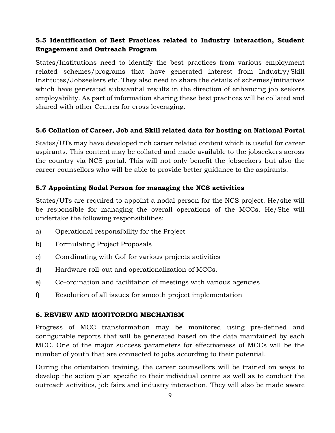# **5.5 Identification of Best Practices related to Industry interaction, Student Engagement and Outreach Program**

States/Institutions need to identify the best practices from various employment related schemes/programs that have generated interest from Industry/Skill Institutes/Jobseekers etc. They also need to share the details of schemes/initiatives which have generated substantial results in the direction of enhancing job seekers employability. As part of information sharing these best practices will be collated and shared with other Centres for cross leveraging.

### **5.6 Collation of Career, Job and Skill related data for hosting on National Portal**

States/UTs may have developed rich career related content which is useful for career aspirants. This content may be collated and made available to the jobseekers across the country via NCS portal. This will not only benefit the jobseekers but also the career counsellors who will be able to provide better guidance to the aspirants.

### **5.7 Appointing Nodal Person for managing the NCS activities**

States/UTs are required to appoint a nodal person for the NCS project. He/she will be responsible for managing the overall operations of the MCCs. He/She will undertake the following responsibilities:

- a) Operational responsibility for the Project
- b) Formulating Project Proposals
- c) Coordinating with GoI for various projects activities
- d) Hardware roll-out and operationalization of MCCs.
- e) Co-ordination and facilitation of meetings with various agencies
- f) Resolution of all issues for smooth project implementation

### **6. REVIEW AND MONITORING MECHANISM**

Progress of MCC transformation may be monitored using pre-defined and configurable reports that will be generated based on the data maintained by each MCC. One of the major success parameters for effectiveness of MCCs will be the number of youth that are connected to jobs according to their potential.

During the orientation training, the career counsellors will be trained on ways to develop the action plan specific to their individual centre as well as to conduct the outreach activities, job fairs and industry interaction. They will also be made aware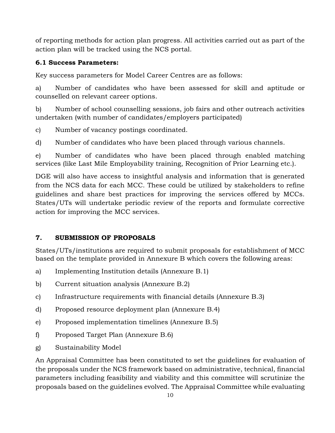of reporting methods for action plan progress. All activities carried out as part of the action plan will be tracked using the NCS portal.

# **6.1 Success Parameters:**

Key success parameters for Model Career Centres are as follows:

a) Number of candidates who have been assessed for skill and aptitude or counselled on relevant career options.

b) Number of school counselling sessions, job fairs and other outreach activities undertaken (with number of candidates/employers participated)

c) Number of vacancy postings coordinated.

d) Number of candidates who have been placed through various channels.

e) Number of candidates who have been placed through enabled matching services (like Last Mile Employability training, Recognition of Prior Learning etc.).

DGE will also have access to insightful analysis and information that is generated from the NCS data for each MCC. These could be utilized by stakeholders to refine guidelines and share best practices for improving the services offered by MCCs. States/UTs will undertake periodic review of the reports and formulate corrective action for improving the MCC services.

# **7. SUBMISSION OF PROPOSALS**

States/UTs/institutions are required to submit proposals for establishment of MCC based on the template provided in Annexure B which covers the following areas:

- a) Implementing Institution details (Annexure B.1)
- b) Current situation analysis (Annexure B.2)
- c) Infrastructure requirements with financial details (Annexure B.3)
- d) Proposed resource deployment plan (Annexure B.4)
- e) Proposed implementation timelines (Annexure B.5)
- f) Proposed Target Plan (Annexure B.6)
- g) Sustainability Model

An Appraisal Committee has been constituted to set the guidelines for evaluation of the proposals under the NCS framework based on administrative, technical, financial parameters including feasibility and viability and this committee will scrutinize the proposals based on the guidelines evolved. The Appraisal Committee while evaluating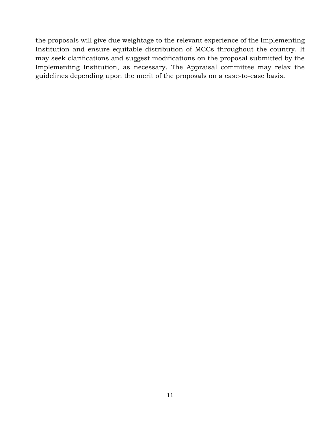the proposals will give due weightage to the relevant experience of the Implementing Institution and ensure equitable distribution of MCCs throughout the country. It may seek clarifications and suggest modifications on the proposal submitted by the Implementing Institution, as necessary. The Appraisal committee may relax the guidelines depending upon the merit of the proposals on a case-to-case basis.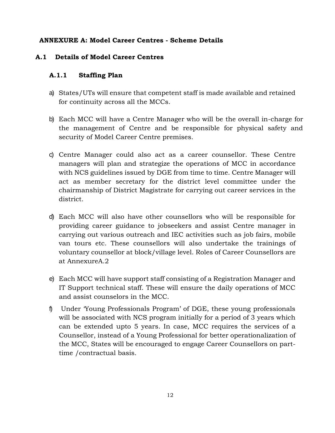### **ANNEXURE A: Model Career Centres - Scheme Details**

### **A.1 Details of Model Career Centres**

### **A.1.1 Staffing Plan**

- a) States/UTs will ensure that competent staff is made available and retained for continuity across all the MCCs.
- b) Each MCC will have a Centre Manager who will be the overall in-charge for the management of Centre and be responsible for physical safety and security of Model Career Centre premises.
- c) Centre Manager could also act as a career counsellor. These Centre managers will plan and strategize the operations of MCC in accordance with NCS guidelines issued by DGE from time to time. Centre Manager will act as member secretary for the district level committee under the chairmanship of District Magistrate for carrying out career services in the district.
- d) Each MCC will also have other counsellors who will be responsible for providing career guidance to jobseekers and assist Centre manager in carrying out various outreach and IEC activities such as job fairs, mobile van tours etc. These counsellors will also undertake the trainings of voluntary counsellor at block/village level. Roles of Career Counsellors are at AnnexureA.2
- e) Each MCC will have support staff consisting of a Registration Manager and IT Support technical staff. These will ensure the daily operations of MCC and assist counselors in the MCC.
- f) Under 'Young Professionals Program' of DGE, these young professionals will be associated with NCS program initially for a period of 3 years which can be extended upto 5 years. In case, MCC requires the services of a Counsellor, instead of a Young Professional for better operationalization of the MCC, States will be encouraged to engage Career Counsellors on parttime /contractual basis.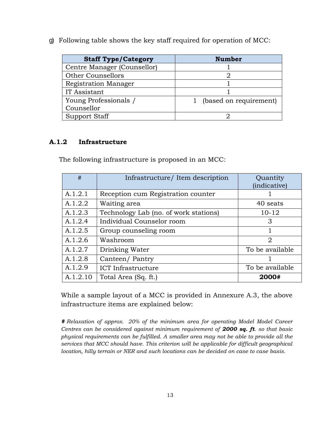g) Following table shows the key staff required for operation of MCC:

| <b>Staff Type/Category</b>  | <b>Number</b>          |
|-----------------------------|------------------------|
| Centre Manager (Counsellor) |                        |
| <b>Other Counsellors</b>    |                        |
| <b>Registration Manager</b> |                        |
| IT Assistant                |                        |
| Young Professionals /       | (based on requirement) |
| Counsellor                  |                        |
| <b>Support Staff</b>        |                        |

### **A.1.2 Infrastructure**

The following infrastructure is proposed in an MCC:

| #        | Infrastructure/ Item description      | Quantity<br>(indicative) |
|----------|---------------------------------------|--------------------------|
| A.1.2.1  | Reception cum Registration counter    |                          |
| A.1.2.2  | Waiting area                          | 40 seats                 |
| A.1.2.3  | Technology Lab (no. of work stations) | $10 - 12$                |
| A.1.2.4  | Individual Counselor room             | 3                        |
| A.1.2.5  | Group counseling room                 |                          |
| A.1.2.6  | Washroom                              | $\overline{2}$           |
| A.1.2.7  | Drinking Water                        | To be available          |
| A.1.2.8  | Canteen/Pantry                        |                          |
| A.1.2.9  | <b>ICT</b> Infrastructure             | To be available          |
| A.1.2.10 | Total Area (Sq. ft.)                  | 2000#                    |

While a sample layout of a MCC is provided in Annexure A.3, the above infrastructure items are explained below:

*# Relaxation of approx. 20% of the minimum area for operating Model Model Career Centres can be considered against minimum requirement of 2000 sq. ft. so that basic physical requirements can be fulfilled. A smaller area may not be able to provide all the services that MCC should have. This criterion will be applicable for difficult geographical location, hilly terrain or NER and such locations can be decided on case to case basis.*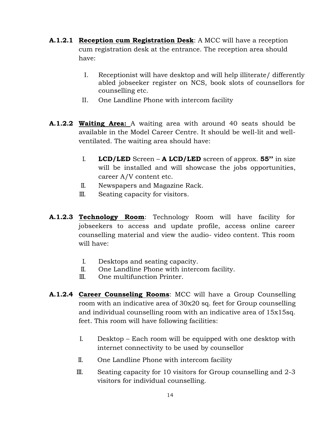- **A.1.2.1 Reception cum Registration Desk**: A MCC will have a reception cum registration desk at the entrance. The reception area should have:
	- I. Receptionist will have desktop and will help illiterate/ differently abled jobseeker register on NCS, book slots of counsellors for counselling etc.
	- II. One Landline Phone with intercom facility
- **A.1.2.2 Waiting Area:** A waiting area with around 40 seats should be available in the Model Career Centre. It should be well-lit and wellventilated. The waiting area should have:
	- I. **LCD/LED** Screen **A LCD/LED** screen of approx. **55''** in size will be installed and will showcase the jobs opportunities, career A/V content etc.
	- II. Newspapers and Magazine Rack.
	- III. Seating capacity for visitors.
- **A.1.2.3 Technology Room**: Technology Room will have facility for jobseekers to access and update profile, access online career counselling material and view the audio- video content. This room will have:
	- I. Desktops and seating capacity.
	- II. One Landline Phone with intercom facility.
	- III. One multifunction Printer.
- **A.1.2.4 Career Counseling Rooms**: MCC will have a Group Counselling room with an indicative area of 30x20 sq. feet for Group counselling and individual counselling room with an indicative area of 15x15sq. feet. This room will have following facilities:
	- I. Desktop Each room will be equipped with one desktop with internet connectivity to be used by counsellor
	- II. One Landline Phone with intercom facility
	- III. Seating capacity for 10 visitors for Group counselling and 2-3 visitors for individual counselling.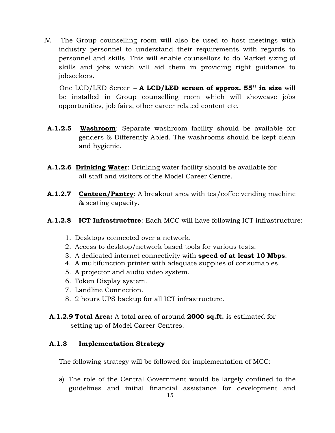IV. The Group counselling room will also be used to host meetings with industry personnel to understand their requirements with regards to personnel and skills. This will enable counsellors to do Market sizing of skills and jobs which will aid them in providing right guidance to jobseekers.

 One LCD/LED Screen – **A LCD/LED screen of approx. 55'' in size** will be installed in Group counselling room which will showcase jobs opportunities, job fairs, other career related content etc.

- **A.1.2.5 Washroom**: Separate washroom facility should be available for genders & Differently Abled. The washrooms should be kept clean and hygienic.
- **A.1.2.6 Drinking Water**: Drinking water facility should be available for all staff and visitors of the Model Career Centre.
- **A.1.2.7 Canteen/Pantry**: A breakout area with tea/coffee vending machine & seating capacity.
- **A.1.2.8 ICT Infrastructure**: Each MCC will have following ICT infrastructure:
	- 1. Desktops connected over a network.
	- 2. Access to desktop/network based tools for various tests.
	- 3. A dedicated internet connectivity with **speed of at least 10 Mbps**.
	- 4. A multifunction printer with adequate supplies of consumables.
	- 5. A projector and audio video system.
	- 6. Token Display system.
	- 7. Landline Connection.
	- 8. 2 hours UPS backup for all ICT infrastructure.
- **A.1.2.9 Total Area:** A total area of around **2000 sq.ft.** is estimated for setting up of Model Career Centres.

### **A.1.3 Implementation Strategy**

The following strategy will be followed for implementation of MCC:

a) The role of the Central Government would be largely confined to the guidelines and initial financial assistance for development and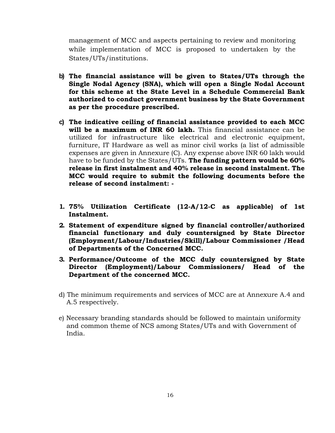management of MCC and aspects pertaining to review and monitoring while implementation of MCC is proposed to undertaken by the States/UTs/institutions.

- **b) The financial assistance will be given to States/UTs through the Single Nodal Agency (SNA), which will open a Single Nodal Account for this scheme at the State Level in a Schedule Commercial Bank authorized to conduct government business by the State Government as per the procedure prescribed.**
- **c) The indicative ceiling of financial assistance provided to each MCC will be a maximum of INR 60 lakh.** This financial assistance can be utilized for infrastructure like electrical and electronic equipment, furniture, IT Hardware as well as minor civil works (a list of admissible expenses are given in Annexure (C). Any expense above INR 60 lakh would have to be funded by the States/UTs. **The funding pattern would be 60% release in first instalment and 40% release in second instalment. The MCC would require to submit the following documents before the release of second instalment: -**
- **1. 75% Utilization Certificate (12-A/12-C as applicable) of 1st Instalment.**
- **2. Statement of expenditure signed by financial controller/authorized financial functionary and duly countersigned by State Director (Employment/Labour/Industries/Skill)/Labour Commissioner /Head of Departments of the Concerned MCC.**
- **3. Performance/Outcome of the MCC duly countersigned by State Director (Employment)/Labour Commissioners/ Head of the Department of the concerned MCC.**
- d) The minimum requirements and services of MCC are at Annexure A.4 and A.5 respectively.
- e) Necessary branding standards should be followed to maintain uniformity and common theme of NCS among States/UTs and with Government of India.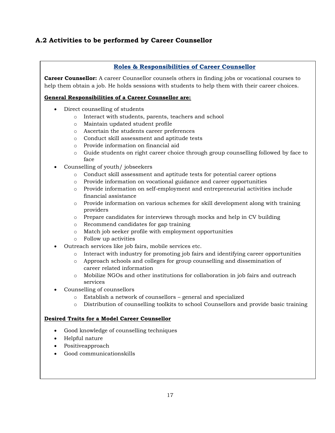# **A.2 Activities to be performed by Career Counsellor**

|           | <b>Roles &amp; Responsibilities of Career Counsellor</b>                                                                                                                                                  |
|-----------|-----------------------------------------------------------------------------------------------------------------------------------------------------------------------------------------------------------|
|           | <b>Career Counsellor:</b> A career Counsellor counsels others in finding jobs or vocational courses to<br>help them obtain a job. He holds sessions with students to help them with their career choices. |
|           | <b>General Responsibilities of a Career Counsellor are:</b>                                                                                                                                               |
| $\bullet$ | Direct counselling of students                                                                                                                                                                            |
| $\circ$   | Interact with students, parents, teachers and school                                                                                                                                                      |
| $\circ$   | Maintain updated student profile                                                                                                                                                                          |
| $\circ$   | Ascertain the students career preferences                                                                                                                                                                 |
| $\circ$   | Conduct skill assessment and aptitude tests                                                                                                                                                               |
| $\circ$   | Provide information on financial aid                                                                                                                                                                      |
| $\circ$   | Guide students on right career choice through group counselling followed by face to<br>face                                                                                                               |
|           | Counselling of youth/jobseekers                                                                                                                                                                           |
| $\circ$   | Conduct skill assessment and aptitude tests for potential career options                                                                                                                                  |
| $\circ$   | Provide information on vocational guidance and career opportunities                                                                                                                                       |
| $\circ$   | Provide information on self-employment and entrepreneurial activities include<br>financial assistance                                                                                                     |
| $\circ$   | Provide information on various schemes for skill development along with training<br>providers                                                                                                             |
| $\circ$   | Prepare candidates for interviews through mocks and help in CV building                                                                                                                                   |
| $\circ$   | Recommend candidates for gap training                                                                                                                                                                     |
| $\circ$   | Match job seeker profile with employment opportunities                                                                                                                                                    |
| $\circ$   | Follow up activities                                                                                                                                                                                      |
| $\bullet$ | Outreach services like job fairs, mobile services etc.                                                                                                                                                    |
| $\circ$   | Interact with industry for promoting job fairs and identifying career opportunities                                                                                                                       |
| $\circ$   | Approach schools and colleges for group counselling and dissemination of<br>career related information                                                                                                    |
| $\circ$   | Mobilize NGOs and other institutions for collaboration in job fairs and outreach<br>services                                                                                                              |
|           | Counselling of counsellors                                                                                                                                                                                |
| $\circ$   | Establish a network of counsellors - general and specialized                                                                                                                                              |
| $\circ$   | Distribution of counselling toolkits to school Counsellors and provide basic training                                                                                                                     |
|           | <b>Desired Traits for a Model Career Counsellor</b>                                                                                                                                                       |
| $\bullet$ | Good knowledge of counselling techniques                                                                                                                                                                  |
|           | Helpful nature                                                                                                                                                                                            |
|           | Positiveapproach                                                                                                                                                                                          |
|           | Good communicationskills                                                                                                                                                                                  |
|           |                                                                                                                                                                                                           |
|           |                                                                                                                                                                                                           |
|           |                                                                                                                                                                                                           |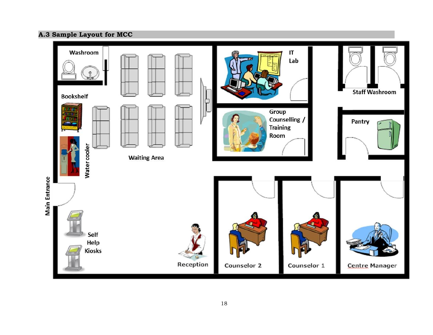# **A.3 Sample Layout for MCC**

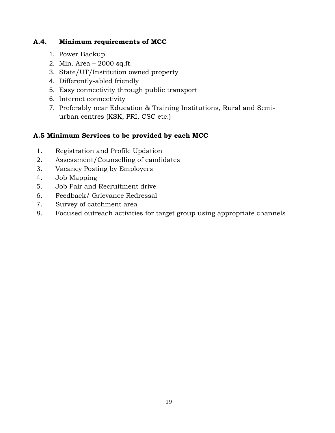### **A.4. Minimum requirements of MCC**

- 1. Power Backup
- 2. Min. Area 2000 sq.ft.
- 3. State/UT/Institution owned property
- 4. Differently-abled friendly
- 5. Easy connectivity through public transport
- 6. Internet connectivity
- 7. Preferably near Education & Training Institutions, Rural and Semiurban centres (KSK, PRI, CSC etc.)

# **A.5 Minimum Services to be provided by each MCC**

- 1. Registration and Profile Updation
- 2. Assessment/Counselling of candidates
- 3. Vacancy Posting by Employers
- 4. Job Mapping
- 5. Job Fair and Recruitment drive
- 6. Feedback/ Grievance Redressal
- 7. Survey of catchment area
- 8. Focused outreach activities for target group using appropriate channels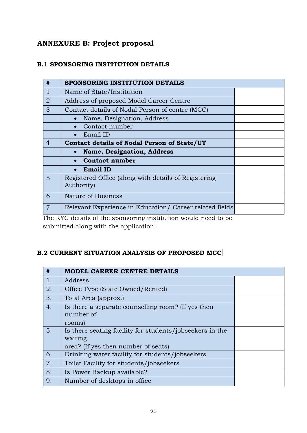# **ANNEXURE B: Project proposal**

# **B.1 SPONSORING INSTITUTION DETAILS**

| #              | SPONSORING INSTITUTION DETAILS                                     |  |
|----------------|--------------------------------------------------------------------|--|
|                | Name of State/Institution                                          |  |
| $\overline{2}$ | Address of proposed Model Career Centre                            |  |
| 3              | Contact details of Nodal Person of centre (MCC)                    |  |
|                | Name, Designation, Address                                         |  |
|                | Contact number                                                     |  |
|                | Email ID                                                           |  |
| $\overline{4}$ | Contact details of Nodal Person of State/UT                        |  |
|                | <b>Name, Designation, Address</b>                                  |  |
|                | <b>Contact number</b>                                              |  |
|                | <b>Email ID</b>                                                    |  |
| 5              | Registered Office (along with details of Registering<br>Authority) |  |
| 6              | Nature of Business                                                 |  |
| $\overline{7}$ | Relevant Experience in Education/ Career related fields            |  |
|                |                                                                    |  |

The KYC details of the sponsoring institution would need to be submitted along with the application.

# **B.2 CURRENT SITUATION ANALYSIS OF PROPOSED MCC**

| #  | <b>MODEL CAREER CENTRE DETAILS</b>                                                                         |  |
|----|------------------------------------------------------------------------------------------------------------|--|
| 1. | Address                                                                                                    |  |
| 2. | Office Type (State Owned/Rented)                                                                           |  |
| 3. | Total Area (approx.)                                                                                       |  |
| 4. | Is there a separate counselling room? (If yes then<br>number of<br>rooms)                                  |  |
| 5. | Is there seating facility for students/jobseekers in the<br>waiting<br>area? (If yes then number of seats) |  |
| 6. | Drinking water facility for students/jobseekers                                                            |  |
| 7. | Toilet Facility for students/jobseekers                                                                    |  |
| 8. | Is Power Backup available?                                                                                 |  |
| 9. | Number of desktops in office.                                                                              |  |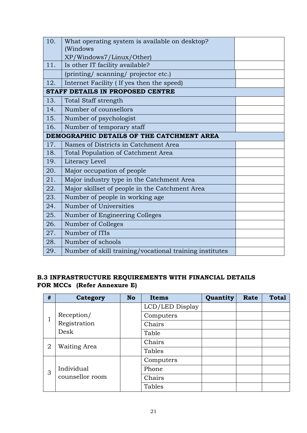| 10. | What operating system is available on desktop?              |  |  |
|-----|-------------------------------------------------------------|--|--|
|     | (Windows                                                    |  |  |
| 11. | XP/Windows7/Linux/Other)<br>Is other IT facility available? |  |  |
|     | (printing/ scanning/ projector etc.)                        |  |  |
|     |                                                             |  |  |
| 12. | Internet Facility (If yes then the speed)                   |  |  |
|     | STAFF DETAILS IN PROPOSED CENTRE                            |  |  |
| 13. | <b>Total Staff strength</b>                                 |  |  |
| 14. | Number of counsellors                                       |  |  |
| 15. | Number of psychologist                                      |  |  |
| 16. | Number of temporary staff                                   |  |  |
|     | DEMOGRAPHIC DETAILS OF THE CATCHMENT AREA                   |  |  |
| 17. | Names of Districts in Catchment Area                        |  |  |
| 18. | Total Population of Catchment Area                          |  |  |
| 19. | Literacy Level                                              |  |  |
| 20. | Major occupation of people                                  |  |  |
| 21. | Major industry type in the Catchment Area                   |  |  |
| 22. | Major skillset of people in the Catchment Area              |  |  |
| 23. | Number of people in working age                             |  |  |
| 24. | Number of Universities                                      |  |  |
| 25. | Number of Engineering Colleges                              |  |  |
| 26. | Number of Colleges                                          |  |  |
| 27. | Number of ITIs                                              |  |  |
| 28. | Number of schools                                           |  |  |
| 29. | Number of skill training/vocational training institutes     |  |  |

# **B.3 INFRASTRUCTURE REQUIREMENTS WITH FINANCIAL DETAILS FOR MCCs (Refer Annexure E)**

| #  | <b>Category</b> | <b>No</b> | <b>Items</b>    | Quantity | Rate | <b>Total</b> |
|----|-----------------|-----------|-----------------|----------|------|--------------|
|    | Reception/      |           | LCD/LED Display |          |      |              |
| T. |                 |           | Computers       |          |      |              |
|    | Registration    |           | Chairs          |          |      |              |
|    | Desk            |           | Table           |          |      |              |
| 2  | Waiting Area    |           | Chairs          |          |      |              |
|    |                 |           | Tables          |          |      |              |
|    |                 |           | Computers       |          |      |              |
| 3  | Individual      |           | Phone           |          |      |              |
|    | counsellor room |           | Chairs          |          |      |              |
|    |                 |           | Tables          |          |      |              |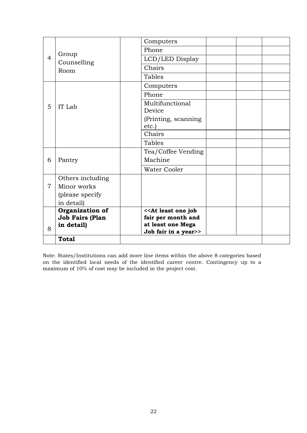|                |                              | Computers            |  |
|----------------|------------------------------|----------------------|--|
| $\overline{4}$ | Group<br>Counselling<br>Room | Phone                |  |
|                |                              | LCD/LED Display      |  |
|                |                              | Chairs               |  |
|                |                              | Tables               |  |
|                |                              | Computers            |  |
|                |                              | Phone                |  |
| 5              | IT Lab                       | Multifunctional      |  |
|                |                              | Device               |  |
|                |                              | (Printing, scanning  |  |
|                |                              | etc.)                |  |
|                |                              | Chairs               |  |
|                |                              | Tables               |  |
|                |                              | Tea/Coffee Vending   |  |
| 6              | Pantry                       | Machine              |  |
|                |                              | <b>Water Cooler</b>  |  |
|                | Others including             |                      |  |
| $\overline{7}$ | Minor works                  |                      |  |
|                | (please specify              |                      |  |
|                | in detail)                   |                      |  |
|                | Organization of              | << At least one job  |  |
|                | <b>Job Fairs (Plan</b>       | fair per month and   |  |
| 8              | in detail)                   | at least one Mega    |  |
|                |                              | Job fair in a year>> |  |
|                | <b>Total</b>                 |                      |  |

Note: States/Institutions can add more line items within the above 8 categories based on the identified local needs of the identified career centre. Contingency up to a maximum of 10% of cost may be included in the project cost.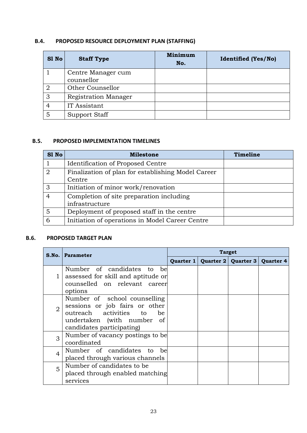# **B.4. PROPOSED RESOURCE DEPLOYMENT PLAN (STAFFING)**

| S1 No | <b>Staff Type</b>    | <b>Minimum</b><br>No. | <b>Identified (Yes/No)</b> |
|-------|----------------------|-----------------------|----------------------------|
|       | Centre Manager cum   |                       |                            |
|       | counsellor           |                       |                            |
|       | Other Counsellor     |                       |                            |
| 3     | Registration Manager |                       |                            |
|       | IT Assistant         |                       |                            |
| 5     | Support Staff        |                       |                            |

#### **B.5. PROPOSED IMPLEMENTATION TIMELINES**

| S1 No          | <b>Milestone</b>                                   | Timeline |
|----------------|----------------------------------------------------|----------|
|                | Identification of Proposed Centre                  |          |
| $\overline{2}$ | Finalization of plan for establishing Model Career |          |
|                | Centre                                             |          |
| 3              | Initiation of minor work/renovation                |          |
| 4              | Completion of site preparation including           |          |
|                | infrastructure                                     |          |
| 5              | Deployment of proposed staff in the centre         |          |
| 6              | Initiation of operations in Model Career Centre    |          |

#### **B.6. PROPOSED TARGET PLAN**

|                | S.No.   Parameter                                                                                                                                                    | <b>Target</b> |  |                                   |  |
|----------------|----------------------------------------------------------------------------------------------------------------------------------------------------------------------|---------------|--|-----------------------------------|--|
|                |                                                                                                                                                                      | Quarter 1     |  | Quarter 2   Quarter 3   Quarter 4 |  |
|                | Number of candidates to<br>be<br>assessed for skill and aptitude or<br>counselled on relevant career<br>options                                                      |               |  |                                   |  |
| $\overline{2}$ | Number of school counselling<br>sessions or job fairs or other<br>outreach activities to<br><sub>be</sub><br>undertaken (with number of<br>candidates participating) |               |  |                                   |  |
| 3              | Number of vacancy postings to be<br>coordinated                                                                                                                      |               |  |                                   |  |
| 4              | Number of candidates to be<br>placed through various channels                                                                                                        |               |  |                                   |  |
| 5              | Number of candidates to be<br>placed through enabled matching<br>services                                                                                            |               |  |                                   |  |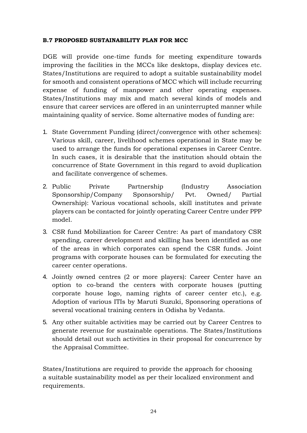#### **B.7 PROPOSED SUSTAINABILITY PLAN FOR MCC**

DGE will provide one-time funds for meeting expenditure towards improving the facilities in the MCCs like desktops, display devices etc. States/Institutions are required to adopt a suitable sustainability model for smooth and consistent operations of MCC which will include recurring expense of funding of manpower and other operating expenses. States/Institutions may mix and match several kinds of models and ensure that career services are offered in an uninterrupted manner while maintaining quality of service. Some alternative modes of funding are:

- 1. State Government Funding (direct/convergence with other schemes): Various skill, career, livelihood schemes operational in State may be used to arrange the funds for operational expenses in Career Centre. In such cases, it is desirable that the institution should obtain the concurrence of State Government in this regard to avoid duplication and facilitate convergence of schemes.
- 2. Public Private Partnership (Industry Association Sponsorship/Company Sponsorship/ Pvt. Owned/ Partial Ownership): Various vocational schools, skill institutes and private players can be contacted for jointly operating Career Centre under PPP model.
- 3. CSR fund Mobilization for Career Centre: As part of mandatory CSR spending, career development and skilling has been identified as one of the areas in which corporates can spend the CSR funds. Joint programs with corporate houses can be formulated for executing the career center operations.
- 4. Jointly owned centres (2 or more players): Career Center have an option to co-brand the centers with corporate houses (putting corporate house logo, naming rights of career center etc.), e.g. Adoption of various ITIs by Maruti Suzuki, Sponsoring operations of several vocational training centers in Odisha by Vedanta.
- 5. Any other suitable activities may be carried out by Career Centres to generate revenue for sustainable operations. The States/Institutions should detail out such activities in their proposal for concurrence by the Appraisal Committee.

States/Institutions are required to provide the approach for choosing a suitable sustainability model as per their localized environment and requirements.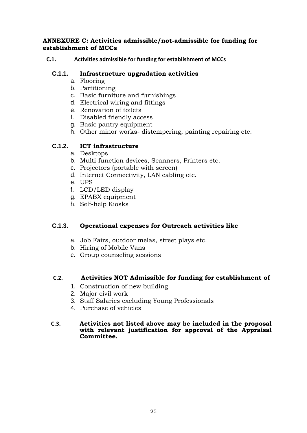### **ANNEXURE C: Activities admissible/not-admissible for funding for establishment of MCCs**

### **C.1. Activities admissible for funding for establishment of MCCs**

### **C.1.1. Infrastructure upgradation activities**

- a. Flooring
- b. Partitioning
- c. Basic furniture and furnishings
- d. Electrical wiring and fittings
- e. Renovation of toilets
- f. Disabled friendly access
- g. Basic pantry equipment
- h. Other minor works- distempering, painting repairing etc.

### **C.1.2. ICT infrastructure**

- a. Desktops
- b. Multi-function devices, Scanners, Printers etc.
- c. Projectors (portable with screen)
- d. Internet Connectivity, LAN cabling etc.
- e. UPS
- f. LCD/LED display
- g. EPABX equipment
- h. Self-help Kiosks

### **C.1.3. Operational expenses for Outreach activities like**

- a. Job Fairs, outdoor melas, street plays etc.
- b. Hiring of Mobile Vans
- c. Group counseling sessions

### **C.2. Activities NOT Admissible for funding for establishment of**

- 1. Construction of new building
- 2. Major civil work
- 3. Staff Salaries excluding Young Professionals
- 4. Purchase of vehicles

#### **C.3. Activities not listed above may be included in the proposal with relevant justification for approval of the Appraisal Committee.**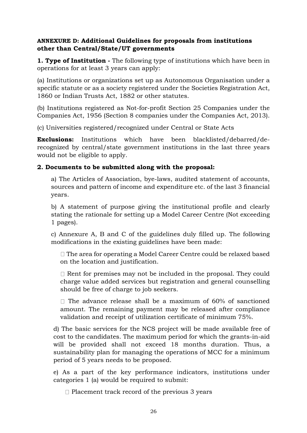# **ANNEXURE D: Additional Guidelines for proposals from institutions other than Central/State/UT governments**

**1. Type of Institution -** The following type of institutions which have been in operations for at least 3 years can apply:

(a) Institutions or organizations set up as Autonomous Organisation under a specific statute or as a society registered under the Societies Registration Act, 1860 or Indian Trusts Act, 1882 or other statutes.

(b) Institutions registered as Not-for-profit Section 25 Companies under the Companies Act, 1956 (Section 8 companies under the Companies Act, 2013).

(c) Universities registered/recognized under Central or State Acts

**Exclusions:** Institutions which have been blacklisted/debarred/derecognized by central/state government institutions in the last three years would not be eligible to apply.

# **2. Documents to be submitted along with the proposal:**

a) The Articles of Association, bye-laws, audited statement of accounts, sources and pattern of income and expenditure etc. of the last 3 financial years.

b) A statement of purpose giving the institutional profile and clearly stating the rationale for setting up a Model Career Centre (Not exceeding 1 pages).

c) Annexure A, B and C of the guidelines duly filled up. The following modifications in the existing guidelines have been made:

 $\Box$  The area for operating a Model Career Centre could be relaxed based on the location and justification.

 $\Box$  Rent for premises may not be included in the proposal. They could charge value added services but registration and general counselling should be free of charge to job seekers.

 $\Box$  The advance release shall be a maximum of 60% of sanctioned amount. The remaining payment may be released after compliance validation and receipt of utilization certificate of minimum 75%.

d) The basic services for the NCS project will be made available free of cost to the candidates. The maximum period for which the grants-in-aid will be provided shall not exceed 18 months duration. Thus, a sustainability plan for managing the operations of MCC for a minimum period of 5 years needs to be proposed.

e) As a part of the key performance indicators, institutions under categories 1 (a) would be required to submit:

 $\Box$  Placement track record of the previous 3 years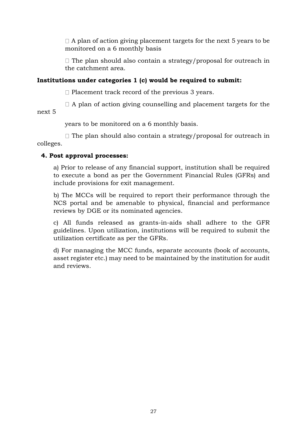$\Box$  A plan of action giving placement targets for the next 5 years to be monitored on a 6 monthly basis

 $\Box$  The plan should also contain a strategy/proposal for outreach in the catchment area.

# **Institutions under categories 1 (c) would be required to submit:**

 $\Box$  Placement track record of the previous 3 years.

 $\Box$  A plan of action giving counselling and placement targets for the next 5

years to be monitored on a 6 monthly basis.

 $\Box$  The plan should also contain a strategy/proposal for outreach in colleges.

# **4. Post approval processes:**

a) Prior to release of any financial support, institution shall be required to execute a bond as per the Government Financial Rules (GFRs) and include provisions for exit management.

b) The MCCs will be required to report their performance through the NCS portal and be amenable to physical, financial and performance reviews by DGE or its nominated agencies.

c) All funds released as grants-in-aids shall adhere to the GFR guidelines. Upon utilization, institutions will be required to submit the utilization certificate as per the GFRs.

d) For managing the MCC funds, separate accounts (book of accounts, asset register etc.) may need to be maintained by the institution for audit and reviews.